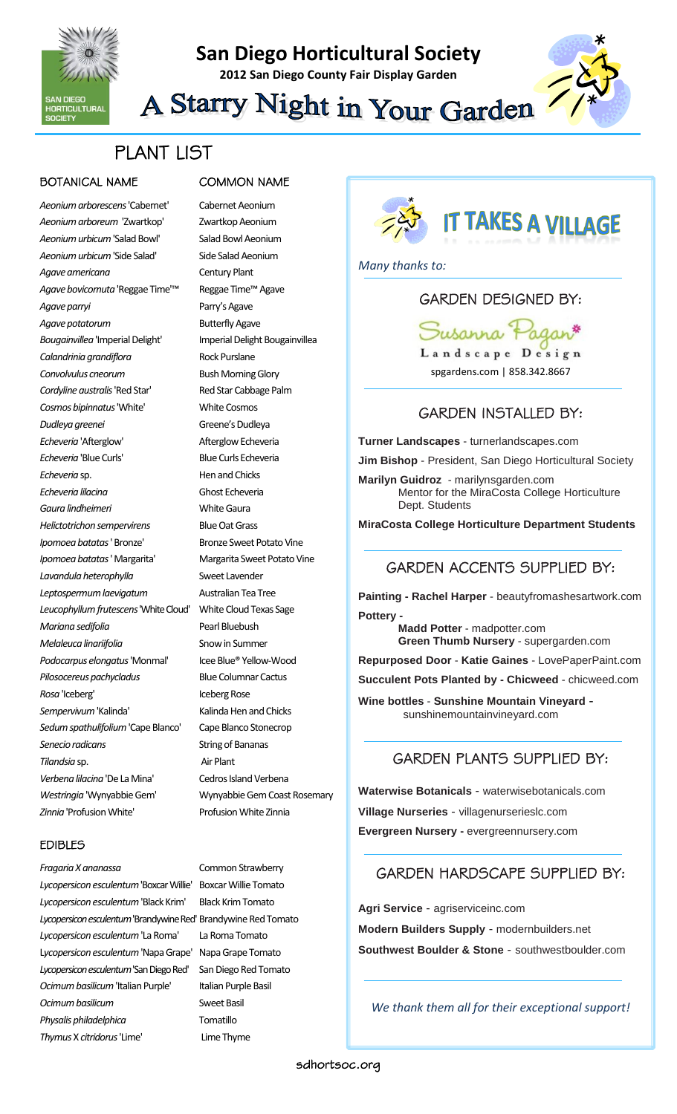

# **San Diego Horticultural Society**

**2012 San Diego County Fair Display Garden**



A Starry Night in Your Garden

# PLANT LIST

#### BOTANICAL NAME COMMON NAME

*Aeonium arborescens*'Cabernet' Cabernet Aeonium *Aeonium arboreum* 'Zwartkop' Zwartkop Aeonium *Aeonium urbicum*'Salad Bowl' Salad Bowl Aeonium *Aeonium urbicum*'Side Salad' Side Salad Aeonium *Agave americana* Century Plant *Agave bovicornuta* 'Reggae Time'™ Reggae Time™ Agave *Agave parryi* Parry's Agave Agave potatorum Butterfly Agave *Bougainvillea*'Imperial Delight' Imperial Delight Bougainvillea *Calandrinia grandiflora* Rock Purslane **Convolvulus cneorum** Bush Morning Glory *Cordyline australis*'Red Star' Red Star Cabbage Palm *Cosmos bipinnatus*'White' White Cosmos *Dudleya greenei* Greene's Dudleya *Echeveria* 'Afterglow' Afterglow Echeveria *Echeveria* 'Blue Curls' Blue Curls Echeveria *Echeveria* sp. Hen and Chicks *Echeveria lilacina* Ghost Echeveria *Gaura lindheimeri* White Gaura *Helictotrichon sempervirens* Blue Oat Grass *Ipomoea batatas* ' Bronze' Bronze Sweet Potato Vine *Ipomoea batatas*' Margarita' Margarita Sweet Potato Vine *Lavandula heterophylla* Sweet Lavender *Leptospermum laevigatum* Australian Tea Tree *Leucophyllum frutescens*'White Cloud' White Cloud Texas Sage *Mariana sedifolia* Pearl Bluebush *Melaleuca linariifolia* Snow in Summer *Podocarpus elongatus*'Monmal' Icee Blue® Yellow-Wood *Pilosocereus pachycladus* Blue Columnar Cactus **Rosa** 'Iceberg' **Iceberg Rose** Sempervivum 'Kalinda' Kalinda Hen and Chicks *Sedum spathulifolium*'Cape Blanco' Cape Blanco Stonecrop **Senecio radicans** String of Bananas *Tilandsia* sp. Air Plant *Verbena lilacina* 'De La Mina' Cedros Island Verbena *Westringia* 'Wynyabbie Gem' Wynyabbie Gem Coast Rosemary Zinnia<sup>'</sup>Profusion White' Profusion White Zinnia

#### EDIBLES

*Fragaria X ananassa* Common Strawberry *Lycopersicon esculentum*'Boxcar Willie' Boxcar Willie Tomato *Lycopersicon esculentum*'Black Krim' Black Krim Tomato *Lycopersicon esculentum*'Brandywine Red' Brandywine Red Tomato *Lycopersicon esculentum*'La Roma' La Roma Tomato L*ycopersicon esculentum* 'Napa Grape' Napa Grape Tomato *Lycopersicon esculentum* 'San Diego Red' San Diego Red Tomato *Ocimum basilicum*'Italian Purple' Italian Purple Basil *Ocimum basilicum* Sweet Basil *Physalis philadelphica* Tomatillo *Thymus* X *citridorus*'Lime' Lime Thyme



*Many thanks to:*

#### GARDEN DESIGNED BY:

Susanna Landscape Design

spgardens.com | 858.342.8667

#### GARDEN INSTALLED BY:

**Turner Landscapes** - turnerlandscapes.com

**Jim Bishop** - President, San Diego Horticultural Society

**Marilyn Guidroz** - marilynsgarden.com Mentor for the MiraCosta College Horticulture Dept. Students

**MiraCosta College Horticulture Department Students**

#### GARDEN ACCENTS SUPPLIED BY:

**Painting - Rachel Harper** - beautyfromashesartwork.com **Pottery -**

**Madd Potter** - madpotter.com **Green Thumb Nursery** - supergarden.com

**Repurposed Door** - **Katie Gaines** - LovePaperPaint.com

**Succulent Pots Planted by - Chicweed** - chicweed.com

**Wine bottles** - **Sunshine Mountain Vineyard** sunshinemountainvineyard.com

### GARDEN PLANTS SUPPLIED BY:

**Waterwise Botanicals** - waterwisebotanicals.com **Village Nurseries** - villagenurserieslc.com **Evergreen Nursery -** evergreennursery.com

### GARDEN HARDSCAPE SUPPLIED BY:

**Agri Service** - agriserviceinc.com **Modern Builders Supply** - modernbuilders.net **Southwest Boulder & Stone** - southwestboulder.com

*We thank them all for their exceptional support!*